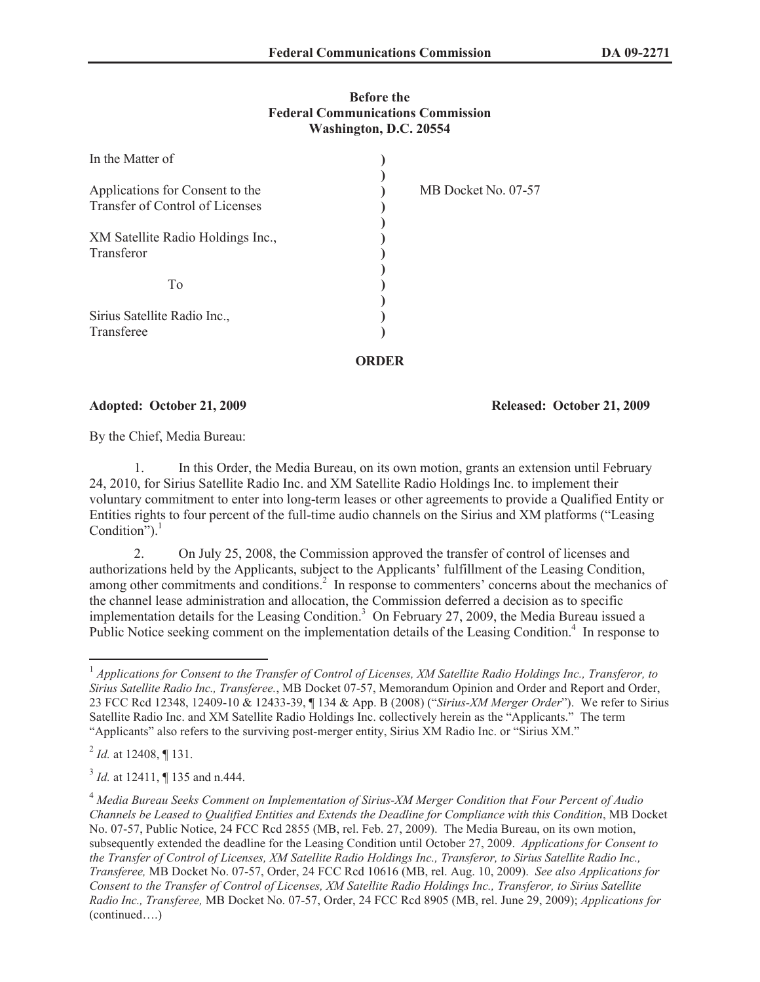## **Before the Federal Communications Commission Washington, D.C. 20554**

| In the Matter of                                                   |                     |  |
|--------------------------------------------------------------------|---------------------|--|
| Applications for Consent to the<br>Transfer of Control of Licenses | MB Docket No. 07-57 |  |
| XM Satellite Radio Holdings Inc.,<br>Transferor                    |                     |  |
| T <sub>0</sub>                                                     |                     |  |
| Sirius Satellite Radio Inc.,<br>Transferee                         |                     |  |
|                                                                    |                     |  |

## **Adopted: October 21, 2009 Released: October 21, 2009**

By the Chief, Media Bureau:

1. In this Order, the Media Bureau, on its own motion, grants an extension until February 24, 2010, for Sirius Satellite Radio Inc. and XM Satellite Radio Holdings Inc. to implement their voluntary commitment to enter into long-term leases or other agreements to provide a Qualified Entity or Entities rights to four percent of the full-time audio channels on the Sirius and XM platforms ("Leasing Condition"). $1$ 

**ORDER**

2. On July 25, 2008, the Commission approved the transfer of control of licenses and authorizations held by the Applicants, subject to the Applicants' fulfillment of the Leasing Condition, among other commitments and conditions.<sup>2</sup> In response to commenters' concerns about the mechanics of the channel lease administration and allocation, the Commission deferred a decision as to specific implementation details for the Leasing Condition. <sup>3</sup> On February 27, 2009, the Media Bureau issued a Public Notice seeking comment on the implementation details of the Leasing Condition.<sup>4</sup> In response to

2 *Id.* at 12408, ¶ 131.

<sup>3</sup> *Id.* at 12411, ¶ 135 and n.444.

<sup>&</sup>lt;sup>1</sup> Applications for Consent to the Transfer of Control of Licenses, XM Satellite Radio Holdings Inc., Transferor, to *Sirius Satellite Radio Inc., Transferee.*, MB Docket 07-57, Memorandum Opinion and Order and Report and Order, 23 FCC Rcd 12348, 12409-10 & 12433-39, ¶ 134 & App. B (2008) ("*Sirius-XM Merger Order*"). We refer to Sirius Satellite Radio Inc. and XM Satellite Radio Holdings Inc. collectively herein as the "Applicants." The term "Applicants" also refers to the surviving post-merger entity, Sirius XM Radio Inc. or "Sirius XM."

<sup>4</sup> *Media Bureau Seeks Comment on Implementation of Sirius-XM Merger Condition that Four Percent of Audio Channels be Leased to Qualified Entities and Extends the Deadline for Compliance with this Condition*, MB Docket No. 07-57, Public Notice, 24 FCC Rcd 2855 (MB, rel. Feb. 27, 2009). The Media Bureau, on its own motion, subsequently extended the deadline for the Leasing Condition until October 27, 2009. *Applications for Consent to the Transfer of Control of Licenses, XM Satellite Radio Holdings Inc., Transferor, to Sirius Satellite Radio Inc., Transferee,* MB Docket No. 07-57, Order, 24 FCC Rcd 10616 (MB, rel. Aug. 10, 2009). *See also Applications for Consent to the Transfer of Control of Licenses, XM Satellite Radio Holdings Inc., Transferor, to Sirius Satellite Radio Inc., Transferee,* MB Docket No. 07-57, Order, 24 FCC Rcd 8905 (MB, rel. June 29, 2009); *Applications for*  (continued….)